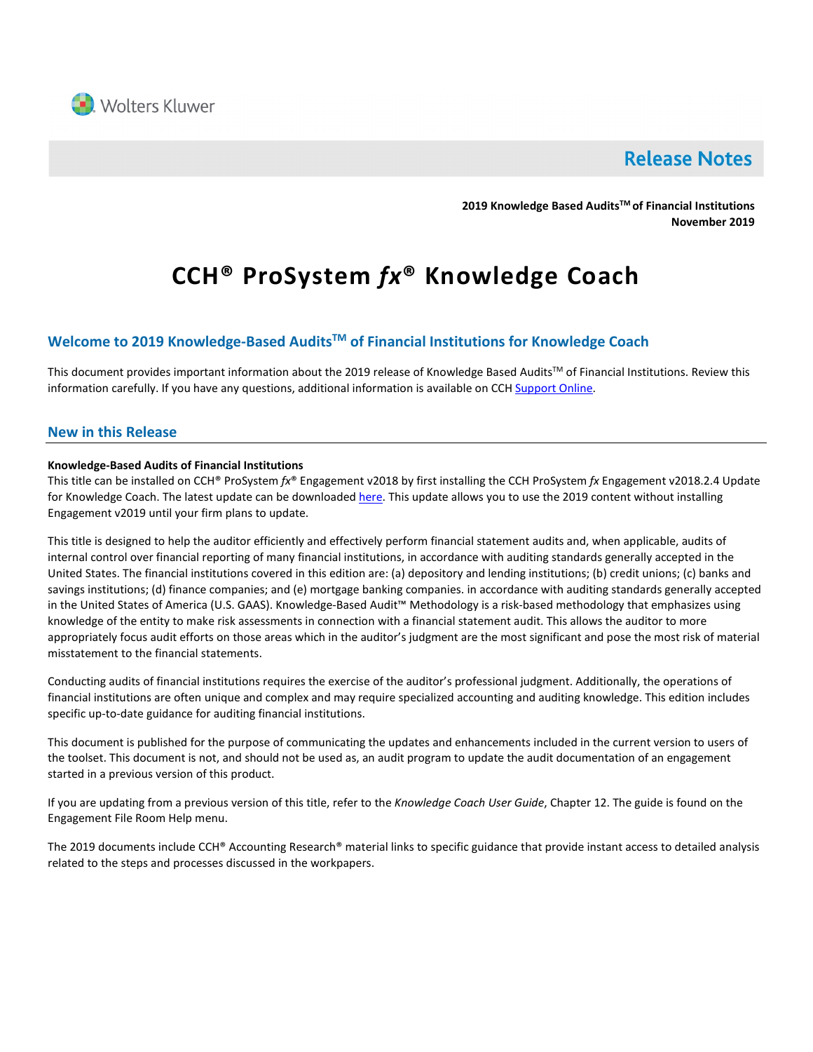

## **Release Notes**

**2019 Knowledge Based AuditsTM of Financial Institutions November 2019**

# **CCH® ProSystem** *fx***® Knowledge Coach**

### **Welcome to 2019 Knowledge-Based AuditsTM of Financial Institutions for Knowledge Coach**

This document provides important information about the 2019 release of Knowledge Based Audits™ of Financial Institutions. Review this information carefully. If you have any questions, additional information is available on CC[H Support Online.](http://support.cch.com/productsupport/)

#### **New in this Release**

#### **Knowledge-Based Audits of Financial Institutions**

This title can be installed on CCH® ProSystem *fx*® Engagement v2018 by first installing the CCH ProSystem *fx* Engagement v2018.2.4 Update for Knowledge Coach. The latest update can be downloade[d here.](https://support.cch.com/updates/Engagement/release2018/release2018.aspx) This update allows you to use the 2019 content without installing Engagement v2019 until your firm plans to update.

This title is designed to help the auditor efficiently and effectively perform financial statement audits and, when applicable, audits of internal control over financial reporting of many financial institutions, in accordance with auditing standards generally accepted in the United States. The financial institutions covered in this edition are: (a) depository and lending institutions; (b) credit unions; (c) banks and savings institutions; (d) finance companies; and (e) mortgage banking companies. in accordance with auditing standards generally accepted in the United States of America (U.S. GAAS). Knowledge-Based Audit™ Methodology is a risk-based methodology that emphasizes using knowledge of the entity to make risk assessments in connection with a financial statement audit. This allows the auditor to more appropriately focus audit efforts on those areas which in the auditor's judgment are the most significant and pose the most risk of material misstatement to the financial statements.

Conducting audits of financial institutions requires the exercise of the auditor's professional judgment. Additionally, the operations of financial institutions are often unique and complex and may require specialized accounting and auditing knowledge. This edition includes specific up-to-date guidance for auditing financial institutions.

This document is published for the purpose of communicating the updates and enhancements included in the current version to users of the toolset. This document is not, and should not be used as, an audit program to update the audit documentation of an engagement started in a previous version of this product.

If you are updating from a previous version of this title, refer to the *Knowledge Coach User Guide*, Chapter 12. The guide is found on the Engagement File Room Help menu.

The 2019 documents include CCH® Accounting Research® material links to specific guidance that provide instant access to detailed analysis related to the steps and processes discussed in the workpapers.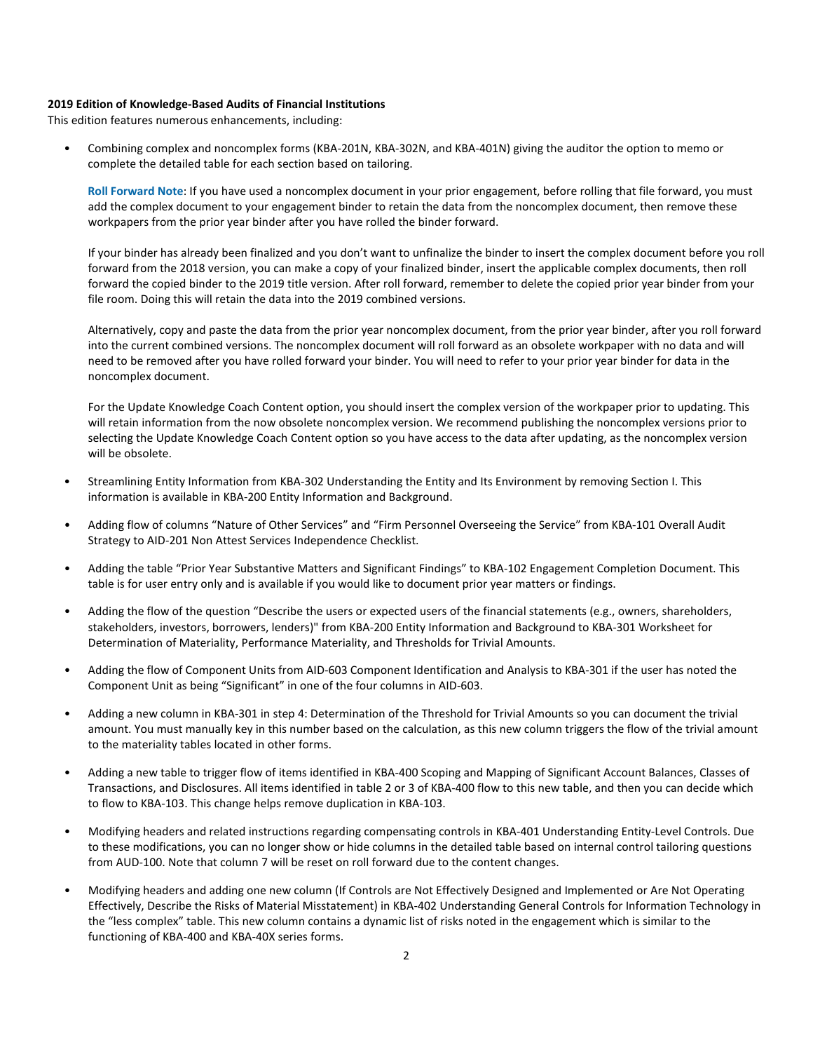#### **2019 Edition of Knowledge-Based Audits of Financial Institutions**

This edition features numerous enhancements, including:

• Combining complex and noncomplex forms (KBA-201N, KBA-302N, and KBA-401N) giving the auditor the option to memo or complete the detailed table for each section based on tailoring.

**Roll Forward Note**: If you have used a noncomplex document in your prior engagement, before rolling that file forward, you must add the complex document to your engagement binder to retain the data from the noncomplex document, then remove these workpapers from the prior year binder after you have rolled the binder forward.

If your binder has already been finalized and you don't want to unfinalize the binder to insert the complex document before you roll forward from the 2018 version, you can make a copy of your finalized binder, insert the applicable complex documents, then roll forward the copied binder to the 2019 title version. After roll forward, remember to delete the copied prior year binder from your file room. Doing this will retain the data into the 2019 combined versions.

Alternatively, copy and paste the data from the prior year noncomplex document, from the prior year binder, after you roll forward into the current combined versions. The noncomplex document will roll forward as an obsolete workpaper with no data and will need to be removed after you have rolled forward your binder. You will need to refer to your prior year binder for data in the noncomplex document.

For the Update Knowledge Coach Content option, you should insert the complex version of the workpaper prior to updating. This will retain information from the now obsolete noncomplex version. We recommend publishing the noncomplex versions prior to selecting the Update Knowledge Coach Content option so you have access to the data after updating, as the noncomplex version will be obsolete.

- Streamlining Entity Information from KBA-302 Understanding the Entity and Its Environment by removing Section I. This information is available in KBA-200 Entity Information and Background.
- Adding flow of columns "Nature of Other Services" and "Firm Personnel Overseeing the Service" from KBA-101 Overall Audit Strategy to AID-201 Non Attest Services Independence Checklist.
- Adding the table "Prior Year Substantive Matters and Significant Findings" to KBA-102 Engagement Completion Document. This table is for user entry only and is available if you would like to document prior year matters or findings.
- Adding the flow of the question "Describe the users or expected users of the financial statements (e.g., owners, shareholders, stakeholders, investors, borrowers, lenders)" from KBA-200 Entity Information and Background to KBA-301 Worksheet for Determination of Materiality, Performance Materiality, and Thresholds for Trivial Amounts.
- Adding the flow of Component Units from AID-603 Component Identification and Analysis to KBA-301 if the user has noted the Component Unit as being "Significant" in one of the four columns in AID-603.
- Adding a new column in KBA-301 in step 4: Determination of the Threshold for Trivial Amounts so you can document the trivial amount. You must manually key in this number based on the calculation, as this new column triggers the flow of the trivial amount to the materiality tables located in other forms.
- Adding a new table to trigger flow of items identified in KBA-400 Scoping and Mapping of Significant Account Balances, Classes of Transactions, and Disclosures. All items identified in table 2 or 3 of KBA-400 flow to this new table, and then you can decide which to flow to KBA-103. This change helps remove duplication in KBA-103.
- Modifying headers and related instructions regarding compensating controls in KBA-401 Understanding Entity-Level Controls. Due to these modifications, you can no longer show or hide columns in the detailed table based on internal control tailoring questions from AUD-100. Note that column 7 will be reset on roll forward due to the content changes.
- Modifying headers and adding one new column (If Controls are Not Effectively Designed and Implemented or Are Not Operating Effectively, Describe the Risks of Material Misstatement) in KBA-402 Understanding General Controls for Information Technology in the "less complex" table. This new column contains a dynamic list of risks noted in the engagement which is similar to the functioning of KBA-400 and KBA-40X series forms.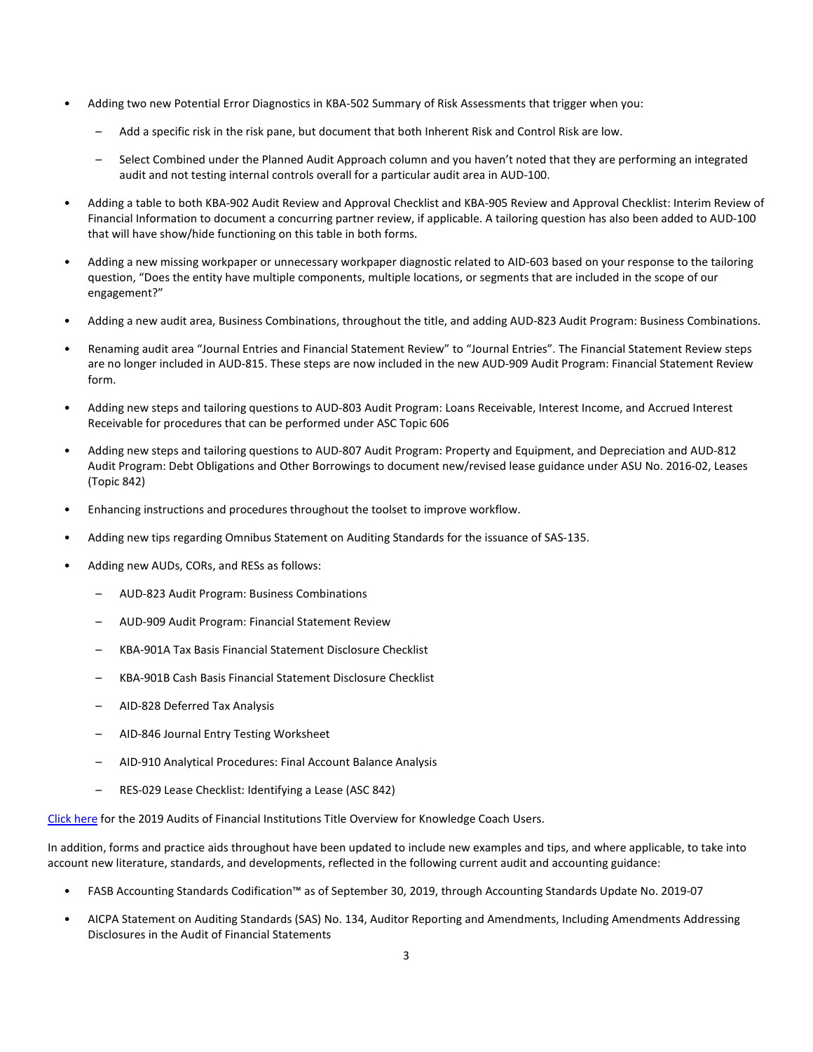- Adding two new Potential Error Diagnostics in KBA-502 Summary of Risk Assessments that trigger when you:
	- Add a specific risk in the risk pane, but document that both Inherent Risk and Control Risk are low.
	- Select Combined under the Planned Audit Approach column and you haven't noted that they are performing an integrated audit and not testing internal controls overall for a particular audit area in AUD-100.
- Adding a table to both KBA-902 Audit Review and Approval Checklist and KBA-905 Review and Approval Checklist: Interim Review of Financial Information to document a concurring partner review, if applicable. A tailoring question has also been added to AUD-100 that will have show/hide functioning on this table in both forms.
- Adding a new missing workpaper or unnecessary workpaper diagnostic related to AID-603 based on your response to the tailoring question, "Does the entity have multiple components, multiple locations, or segments that are included in the scope of our engagement?"
- Adding a new audit area, Business Combinations, throughout the title, and adding AUD-823 Audit Program: Business Combinations.
- Renaming audit area "Journal Entries and Financial Statement Review" to "Journal Entries". The Financial Statement Review steps are no longer included in AUD-815. These steps are now included in the new AUD-909 Audit Program: Financial Statement Review form.
- Adding new steps and tailoring questions to AUD-803 Audit Program: Loans Receivable, Interest Income, and Accrued Interest Receivable for procedures that can be performed under ASC Topic 606
- Adding new steps and tailoring questions to AUD-807 Audit Program: Property and Equipment, and Depreciation and AUD-812 Audit Program: Debt Obligations and Other Borrowings to document new/revised lease guidance under ASU No. 2016-02, Leases (Topic 842)
- Enhancing instructions and procedures throughout the toolset to improve workflow.
- Adding new tips regarding Omnibus Statement on Auditing Standards for the issuance of SAS-135.
- Adding new AUDs, CORs, and RESs as follows:
	- AUD-823 Audit Program: Business Combinations
	- AUD-909 Audit Program: Financial Statement Review
	- KBA-901A Tax Basis Financial Statement Disclosure Checklist
	- KBA-901B Cash Basis Financial Statement Disclosure Checklist
	- AID-828 Deferred Tax Analysis
	- AID-846 Journal Entry Testing Worksheet
	- AID-910 Analytical Procedures: Final Account Balance Analysis
	- RES-029 Lease Checklist: Identifying a Lease (ASC 842)

[Click here](http://support.cch.com/updates/KnowledgeCoach/pdf/guides_tab/2019%20Financial%20Institutions%20Title%20Overview%20for%20Knowledge%20Coach%20Users.pdf) for the 2019 Audits of Financial Institutions Title Overview for Knowledge Coach Users.

In addition, forms and practice aids throughout have been updated to include new examples and tips, and where applicable, to take into account new literature, standards, and developments, reflected in the following current audit and accounting guidance:

- FASB Accounting Standards Codification™ as of September 30, 2019, through Accounting Standards Update No. 2019-07
- AICPA Statement on Auditing Standards (SAS) No. 134, Auditor Reporting and Amendments, Including Amendments Addressing Disclosures in the Audit of Financial Statements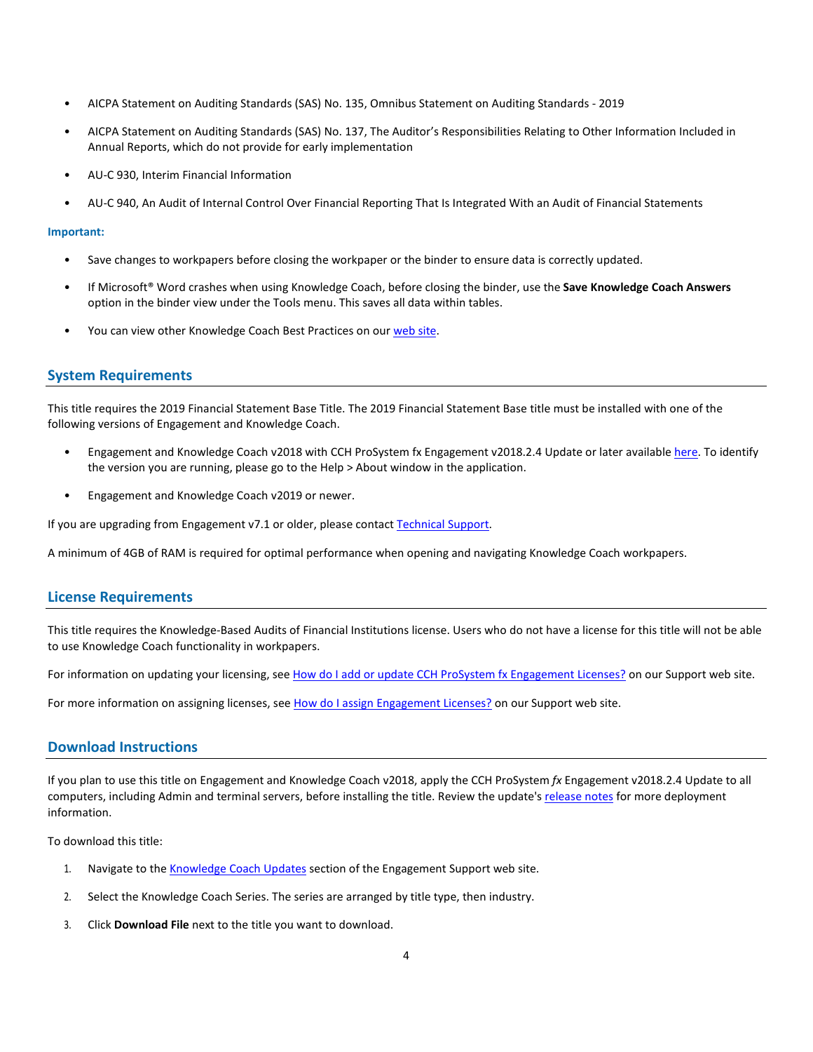- AICPA Statement on Auditing Standards (SAS) No. 135, Omnibus Statement on Auditing Standards 2019
- AICPA Statement on Auditing Standards (SAS) No. 137, The Auditor's Responsibilities Relating to Other Information Included in Annual Reports, which do not provide for early implementation
- AU-C 930, Interim Financial Information
- AU-C 940, An Audit of Internal Control Over Financial Reporting That Is Integrated With an Audit of Financial Statements

#### **Important:**

- Save changes to workpapers before closing the workpaper or the binder to ensure data is correctly updated.
- If Microsoft® Word crashes when using Knowledge Coach, before closing the binder, use the **Save Knowledge Coach Answers** option in the binder view under the Tools menu. This saves all data within tables.
- You can view other Knowledge Coach Best Practices on ou[r web](https://support.cch.com/kb/solution/000034942/sw34947) site.

#### **System Requirements**

This title requires the 2019 Financial Statement Base Title. The 2019 Financial Statement Base title must be installed with one of the following versions of Engagement and Knowledge Coach.

- Engagement and Knowledge Coach v2018 with CCH ProSystem fx Engagement v2018.2.4 Update or later available [here.](https://support.cch.com/updates/Engagement/release2018/release2018.aspx) To identify the version you are running, please go to the Help > About window in the application.
- Engagement and Knowledge Coach v2019 or newer.

If you are upgrading from Engagement v7.1 or older, please contact [Technical Support.](https://support.cch.com/contact)

A minimum of 4GB of RAM is required for optimal performance when opening and navigating Knowledge Coach workpapers.

#### **License Requirements**

This title requires the Knowledge-Based Audits of Financial Institutions license. Users who do not have a license for this title will not be able to use Knowledge Coach functionality in workpapers.

For information on updating your licensing, see [How do I add or update CCH ProSystem fx Engagement Licenses?](https://support.cch.com/kb/solution.aspx/sw3937) on our Support web site.

For more information on assigning licenses, see [How do I assign Engagement Licenses?](https://support.cch.com/kb/solution.aspx/sw3943) on our Support web site.

#### **Download Instructions**

If you plan to use this title on Engagement and Knowledge Coach v2018, apply the CCH ProSystem *fx* Engagement v2018.2.4 Update to all computers, including Admin and terminal servers, before installing the title. Review the update's [release notes](https://d2iceilwdglxpz.cloudfront.net/release_notes/CCH%20ProSystem%20fx%20Engagement%202018.2.4%20Release%20Notes.pdf) for more deployment information.

To download this title:

- 1. Navigate to the [Knowledge Coach Updates](http://support.cch.com/updates/KnowledgeCoach) section of the Engagement Support web site.
- 2. Select the Knowledge Coach Series. The series are arranged by title type, then industry.
- 3. Click **Download File** next to the title you want to download.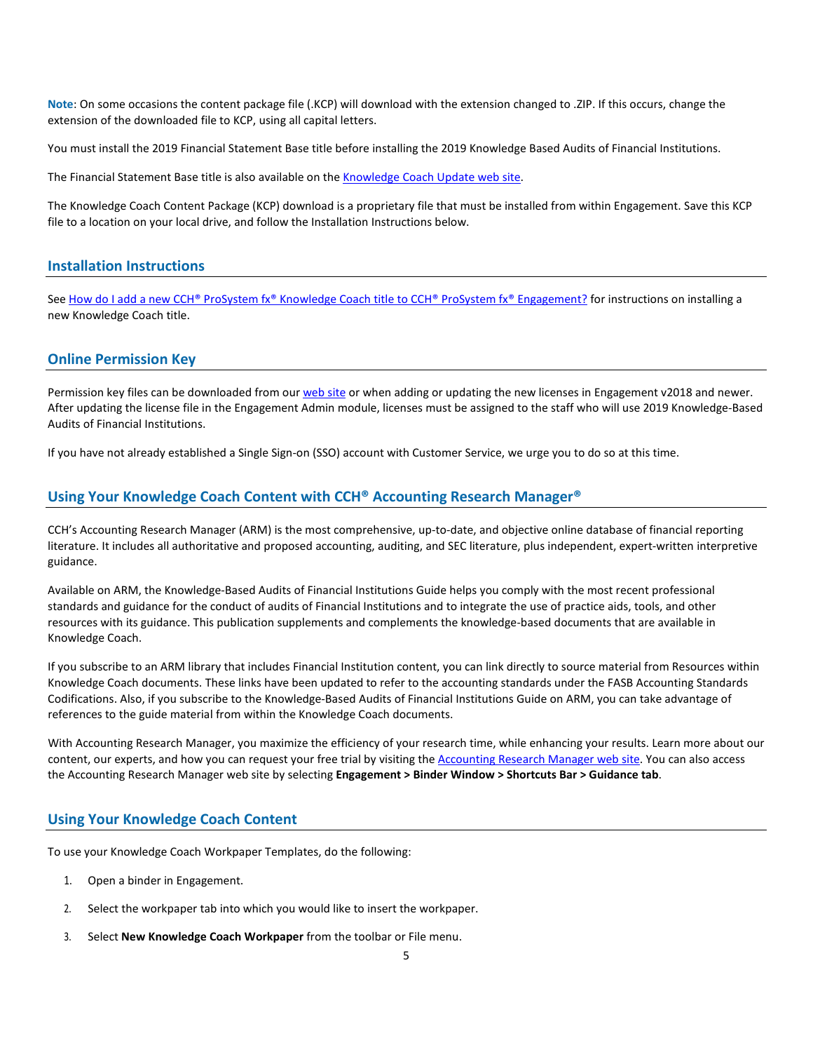**Note**: On some occasions the content package file (.KCP) will download with the extension changed to .ZIP. If this occurs, change the extension of the downloaded file to KCP, using all capital letters.

You must install the 2019 Financial Statement Base title before installing the 2019 Knowledge Based Audits of Financial Institutions.

The Financial Statement Base title is also available on th[e Knowledge Coach Update web site.](http://support.cch.com/updates/KnowledgeCoach)

The Knowledge Coach Content Package (KCP) download is a proprietary file that must be installed from within Engagement. Save this KCP file to a location on your local drive, and follow the Installation Instructions below.

#### **Installation Instructions**

See [How do I add a new CCH® ProSystem fx® Knowledge Coach title to CCH® ProSystem fx® Engagement?](https://support.cch.com/kb/solution/000033707/sw30271) for instructions on installing a new Knowledge Coach title.

#### **Online Permission Key**

Permission key files can be downloaded from ou[r web](https://prosystemfxsupport.tax.cchgroup.com/permkey/download.aspx) site or when adding or updating the new licenses in Engagement v2018 and newer. After updating the license file in the Engagement Admin module, licenses must be assigned to the staff who will use 2019 Knowledge-Based Audits of Financial Institutions.

If you have not already established a Single Sign-on (SSO) account with Customer Service, we urge you to do so at this time.

#### **Using Your Knowledge Coach Content with CCH® Accounting Research Manager®**

CCH's Accounting Research Manager (ARM) is the most comprehensive, up-to-date, and objective online database of financial reporting literature. It includes all authoritative and proposed accounting, auditing, and SEC literature, plus independent, expert-written interpretive guidance.

Available on ARM, the Knowledge-Based Audits of Financial Institutions Guide helps you comply with the most recent professional standards and guidance for the conduct of audits of Financial Institutions and to integrate the use of practice aids, tools, and other resources with its guidance. This publication supplements and complements the knowledge-based documents that are available in Knowledge Coach.

If you subscribe to an ARM library that includes Financial Institution content, you can link directly to source material from Resources within Knowledge Coach documents. These links have been updated to refer to the accounting standards under the FASB Accounting Standards Codifications. Also, if you subscribe to the Knowledge-Based Audits of Financial Institutions Guide on ARM, you can take advantage of references to the guide material from within the Knowledge Coach documents.

With Accounting Research Manager, you maximize the efficiency of your research time, while enhancing your results. Learn more about our content, our experts, and how you can request your free trial by visiting the [Accounting Research Manager web](http://www.accountingresearchmanager.com/) site. You can also access the Accounting Research Manager web site by selecting **Engagement > Binder Window > Shortcuts Bar > Guidance tab**.

#### **Using Your Knowledge Coach Content**

To use your Knowledge Coach Workpaper Templates, do the following:

- 1. Open a binder in Engagement.
- 2. Select the workpaper tab into which you would like to insert the workpaper.
- 3. Select **New Knowledge Coach Workpaper** from the toolbar or File menu.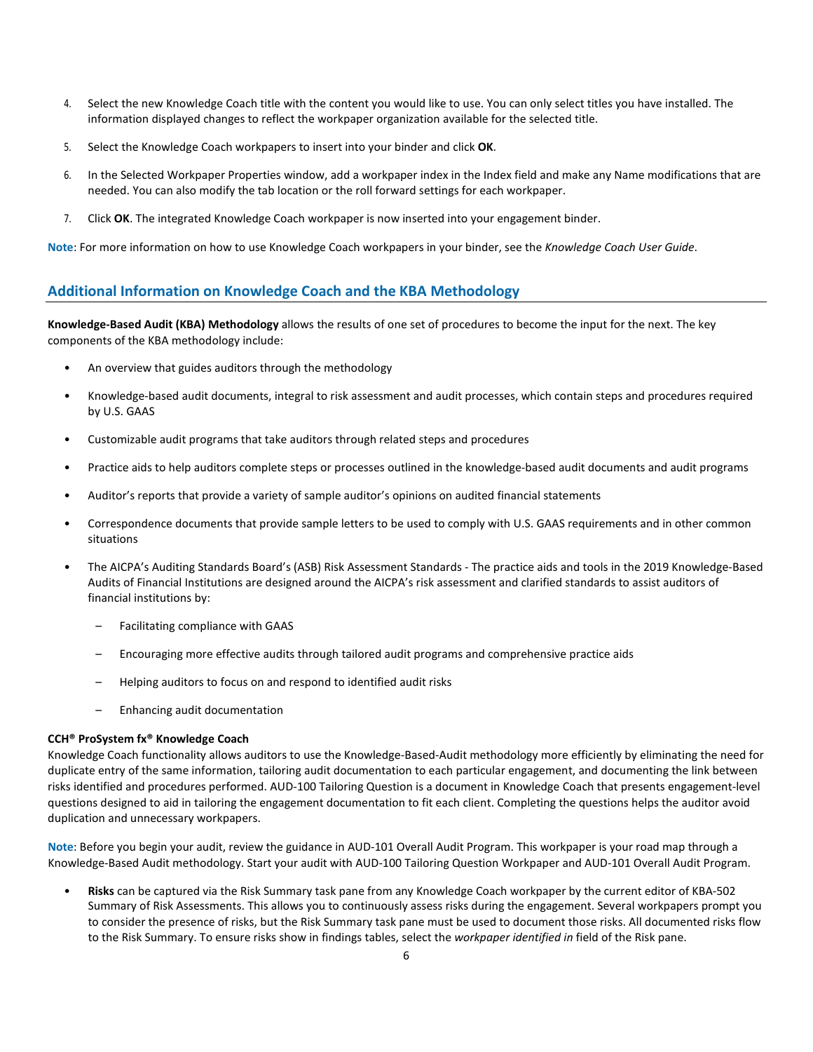- 4. Select the new Knowledge Coach title with the content you would like to use. You can only select titles you have installed. The information displayed changes to reflect the workpaper organization available for the selected title.
- 5. Select the Knowledge Coach workpapers to insert into your binder and click **OK**.
- 6. In the Selected Workpaper Properties window, add a workpaper index in the Index field and make any Name modifications that are needed. You can also modify the tab location or the roll forward settings for each workpaper.
- 7. Click **OK**. The integrated Knowledge Coach workpaper is now inserted into your engagement binder.

**Note**: For more information on how to use Knowledge Coach workpapers in your binder, see the *Knowledge Coach User Guide*.

#### **Additional Information on Knowledge Coach and the KBA Methodology**

**Knowledge-Based Audit (KBA) Methodology** allows the results of one set of procedures to become the input for the next. The key components of the KBA methodology include:

- An overview that guides auditors through the methodology
- Knowledge-based audit documents, integral to risk assessment and audit processes, which contain steps and procedures required by U.S. GAAS
- Customizable audit programs that take auditors through related steps and procedures
- Practice aids to help auditors complete steps or processes outlined in the knowledge-based audit documents and audit programs
- Auditor's reports that provide a variety of sample auditor's opinions on audited financial statements
- Correspondence documents that provide sample letters to be used to comply with U.S. GAAS requirements and in other common situations
- The AICPA's Auditing Standards Board's (ASB) Risk Assessment Standards The practice aids and tools in the 2019 Knowledge-Based Audits of Financial Institutions are designed around the AICPA's risk assessment and clarified standards to assist auditors of financial institutions by:
	- Facilitating compliance with GAAS
	- Encouraging more effective audits through tailored audit programs and comprehensive practice aids
	- Helping auditors to focus on and respond to identified audit risks
	- Enhancing audit documentation

#### **CCH® ProSystem fx® Knowledge Coach**

Knowledge Coach functionality allows auditors to use the Knowledge-Based-Audit methodology more efficiently by eliminating the need for duplicate entry of the same information, tailoring audit documentation to each particular engagement, and documenting the link between risks identified and procedures performed. AUD-100 Tailoring Question is a document in Knowledge Coach that presents engagement-level questions designed to aid in tailoring the engagement documentation to fit each client. Completing the questions helps the auditor avoid duplication and unnecessary workpapers.

**Note**: Before you begin your audit, review the guidance in AUD-101 Overall Audit Program. This workpaper is your road map through a Knowledge-Based Audit methodology. Start your audit with AUD-100 Tailoring Question Workpaper and AUD-101 Overall Audit Program.

• **Risks** can be captured via the Risk Summary task pane from any Knowledge Coach workpaper by the current editor of KBA-502 Summary of Risk Assessments. This allows you to continuously assess risks during the engagement. Several workpapers prompt you to consider the presence of risks, but the Risk Summary task pane must be used to document those risks. All documented risks flow to the Risk Summary. To ensure risks show in findings tables, select the *workpaper identified in* field of the Risk pane.